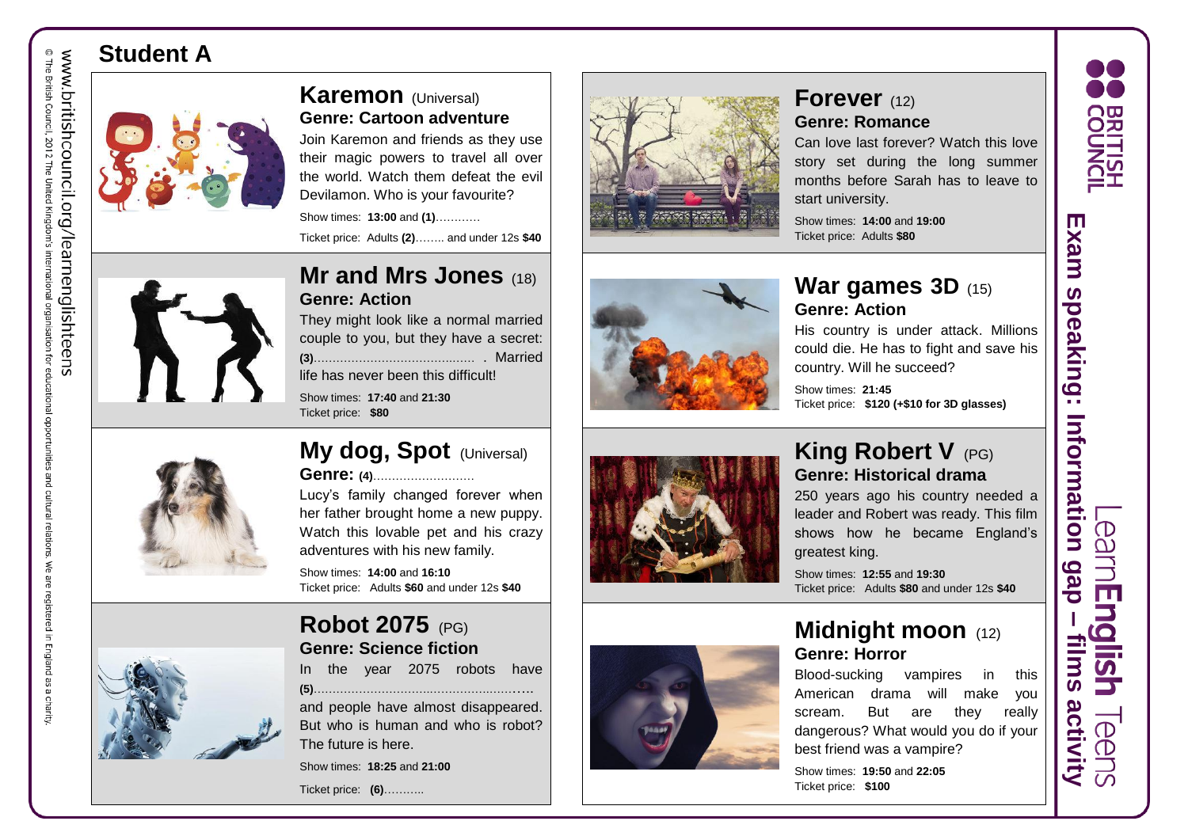# **Student A**



### **Karemon** (Universal) **Genre: Cartoon adventure**

Join Karemon and friends as they use their magic powers to travel all over the world. Watch them defeat the evil Devilamon. Who is your favourite?

Show times: **13:00** and **( 1 )**………… Ticket price: Adults **(2)**…….. and under 12s **\$40**



### **Mr and Mrs Jones** (18) **Genre: Action**

They might look like a normal married couple to you, but they have a secret: **(3)**……………………………….…… . Married

life has never been this difficult!

Show times: **17:40** and **21:30** Ticket price: **\$80**



#### **My dog, Spot** (Universal) **Genre: (4)**………………………

Lucy's family changed forever when her father brought home a new puppy. Watch this lovable pet and his crazy adventures with his new family.

Show times: **14:00** and **16:10** Ticket price: Adults **\$60** and under 12s **\$40**



# **Robot 2075** (PG)

**Genre: Science fiction** In the year 2075 robots have

| <br>$\sqrt{2}$ | yvui. | ـ ب | יטשטו | 11 U V V |
|----------------|-------|-----|-------|----------|
|                |       |     |       |          |

and people have almost disappeared. But who is human and who is robot? The future is here.

Show times: **18:25** and **21:00**

Ticket price: **(6)**………..





#### **Forever** (12) **Genre: Romance**

Can love last forever? Watch this love story set during the long summer months before Sarah has to leave to start university.

Show times: **14:00** and **19:00** Ticket price: Adults **\$80**

### **War games 3D** (15) **Genre: Action**

His country is under attack. Millions could die. He has to fight and save his country. Will he succeed?

Show times: **21:45** Ticket price: **\$120 (+\$10 for 3D glasses)**



### **King Robert V** (PG) **Genre: Historical drama**

250 years ago his country needed a leader and Robert was ready. This film shows how he became England's greatest king.

Show times: **12:55** and **19:30** Ticket price: Adults **\$80** and under 12s **\$40**

### **Midnight moon** (12) **Genre: Horror** Blood -sucking vampires in this

American drama will make you scream. But are they really dangerous? What would you do if your best friend was a vampire?

Show times: **19:50** and **22:05** Ticket price: **\$100**



**films activity**

**actiVity** 

**TIIMS** 

deb

 $\overline{\mathbb{C}}$ 

m

 $\mathbf \Omega$ 

<u>ST</u>

 $\bigcirc$ <sup>(D)</sup>

The